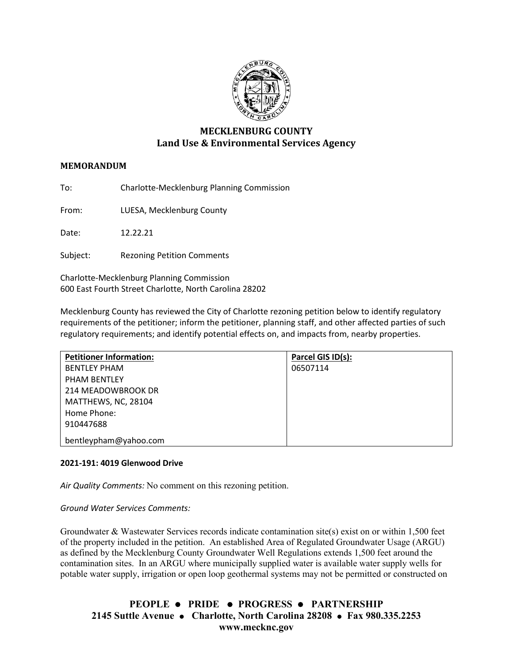

# **MECKLENBURG COUNTY Land Use & Environmental Services Agency**

## **MEMORANDUM**

To: Charlotte-Mecklenburg Planning Commission

From: LUESA, Mecklenburg County

Date: 12.22.21

Subject: Rezoning Petition Comments

Charlotte-Mecklenburg Planning Commission 600 East Fourth Street Charlotte, North Carolina 28202

Mecklenburg County has reviewed the City of Charlotte rezoning petition below to identify regulatory requirements of the petitioner; inform the petitioner, planning staff, and other affected parties of such regulatory requirements; and identify potential effects on, and impacts from, nearby properties.

| <b>Petitioner Information:</b> | Parcel GIS ID(s): |
|--------------------------------|-------------------|
| <b>BENTLEY PHAM</b>            | 06507114          |
| <b>PHAM BENTLEY</b>            |                   |
| 214 MEADOWBROOK DR             |                   |
| MATTHEWS, NC, 28104            |                   |
| Home Phone:                    |                   |
| 910447688                      |                   |
| bentleypham@yahoo.com          |                   |

#### **2021-191: 4019 Glenwood Drive**

*Air Quality Comments:* No comment on this rezoning petition.

*Ground Water Services Comments:* 

Groundwater & Wastewater Services records indicate contamination site(s) exist on or within 1,500 feet of the property included in the petition. An established Area of Regulated Groundwater Usage (ARGU) as defined by the Mecklenburg County Groundwater Well Regulations extends 1,500 feet around the contamination sites. In an ARGU where municipally supplied water is available water supply wells for potable water supply, irrigation or open loop geothermal systems may not be permitted or constructed on

**PEOPLE PRIDE PROGRESS PARTNERSHIP 2145 Suttle Avenue Charlotte, North Carolina 28208 Fax 980.335.2253 www.mecknc.gov**